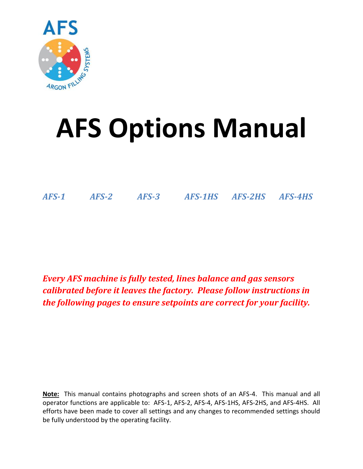

# **AFS Options Manual**

*AFS-1 AFS-2 AFS-3 AFS-1HS AFS-2HS AFS-4HS*

*Every AFS machine is fully tested, lines balance and gas sensors calibrated before it leaves the factory. Please follow instructions in the following pages to ensure setpoints are correct for your facility.*

**Note:** This manual contains photographs and screen shots of an AFS-4. This manual and all operator functions are applicable to: AFS-1, AFS-2, AFS-4, AFS-1HS, AFS-2HS, and AFS-4HS. All efforts have been made to cover all settings and any changes to recommended settings should be fully understood by the operating facility.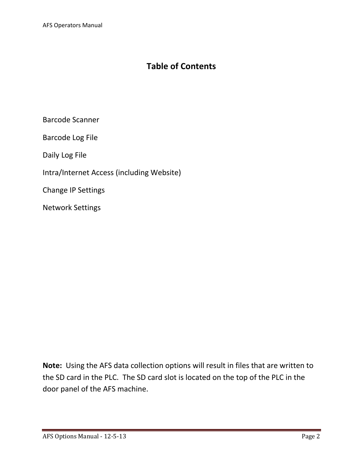# **Table of Contents**

Barcode Scanner

Barcode Log File

Daily Log File

Intra/Internet Access (including Website)

Change IP Settings

Network Settings

**Note:** Using the AFS data collection options will result in files that are written to the SD card in the PLC. The SD card slot is located on the top of the PLC in the door panel of the AFS machine.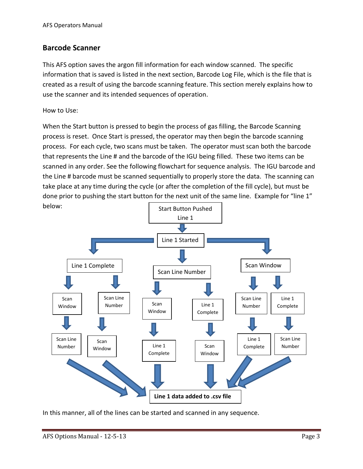#### **Barcode Scanner**

This AFS option saves the argon fill information for each window scanned. The specific information that is saved is listed in the next section, Barcode Log File, which is the file that is created as a result of using the barcode scanning feature. This section merely explains how to use the scanner and its intended sequences of operation.

How to Use:

When the Start button is pressed to begin the process of gas filling, the Barcode Scanning process is reset. Once Start is pressed, the operator may then begin the barcode scanning process. For each cycle, two scans must be taken. The operator must scan both the barcode that represents the Line # and the barcode of the IGU being filled. These two items can be scanned in any order. See the following flowchart for sequence analysis. The IGU barcode and the Line # barcode must be scanned sequentially to properly store the data. The scanning can take place at any time during the cycle (or after the completion of the fill cycle), but must be done prior to pushing the start button for the next unit of the same line. Example for "line 1" below:



In this manner, all of the lines can be started and scanned in any sequence.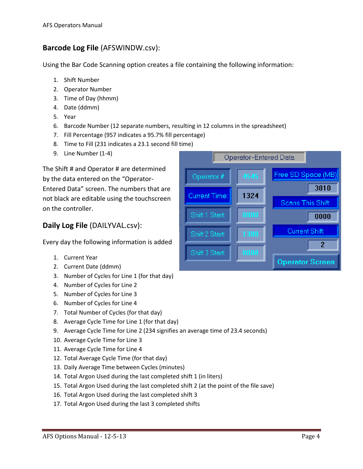## **Barcode Log File** (AFSWINDW.csv):

Using the Bar Code Scanning option creates a file containing the following information:

- 1. Shift Number
- 2. Operator Number
- 3. Time of Day (hhmm)
- 4. Date (ddmm)
- 5. Year
- 6. Barcode Number (12 separate numbers, resulting in 12 columns in the spreadsheet)
- 7. Fill Percentage (957 indicates a 95.7% fill percentage)
- 8. Time to Fill (231 indicates a 23.1 second fill time)
- 9. Line Number (1-4)

The Shift # and Operator # are determined by the data entered on the "Operator-Entered Data" screen. The numbers that are not black are editable using the touchscreen on the controller.

## **Daily Log File** (DAILYVAL.csv):

Every day the following information is added

- 1. Current Year
- 2. Current Date (ddmm)
- 3. Number of Cycles for Line 1 (for that day)
- 4. Number of Cycles for Line 2
- 5. Number of Cycles for Line 3
- 6. Number of Cycles for Line 4
- 7. Total Number of Cycles (for that day)
- 8. Average Cycle Time for Line 1 (for that day)
- 9. Average Cycle Time for Line 2 (234 signifies an average time of 23.4 seconds)
- 10. Average Cycle Time for Line 3
- 11. Average Cycle Time for Line 4
- 12. Total Average Cycle Time (for that day)
- 13. Daily Average Time between Cycles (minutes)
- 14. Total Argon Used during the last completed shift 1 (in liters)
- 15. Total Argon Used during the last completed shift 2 (at the point of the file save)
- 16. Total Argon Used during the last completed shift 3
- 17. Total Argon Used during the last 3 completed shifts

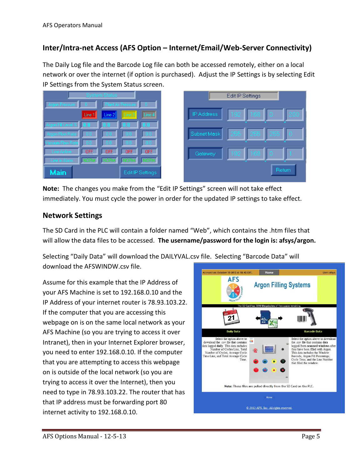#### **Inter/Intra-net Access (AFS Option – Internet/Email/Web-Server Connectivity)**

The Daily Log file and the Barcode Log file can both be accessed remotely, either on a local network or over the internet (if option is purchased). Adjust the IP Settings is by selecting Edit IP Settings from the System Status screen.





**Note:** The changes you make from the "Edit IP Settings" screen will not take effect immediately. You must cycle the power in order for the updated IP settings to take effect.

#### **Network Settings**

The SD Card in the PLC will contain a folder named "Web", which contains the .htm files that will allow the data files to be accessed. **The username/password for the login is: afsys/argon.**

Selecting "Daily Data" will download the DAILYVAL.csv file. Selecting "Barcode Data" will download the AFSWINDW.csv file.

Assume for this example that the IP Address of your AFS Machine is set to 192.168.0.10 and the IP Address of your internet router is 78.93.103.22. If the computer that you are accessing this webpage on is on the same local network as your AFS Machine (so you are trying to access it over Intranet), then in your Internet Explorer browser, you need to enter 192.168.0.10. If the computer that you are attempting to access this webpage on is outside of the local network (so you are trying to access it over the Internet), then you need to type in 78.93.103.22. The router that has that IP address must be forwarding port 80 internet activity to 192.168.0.10.